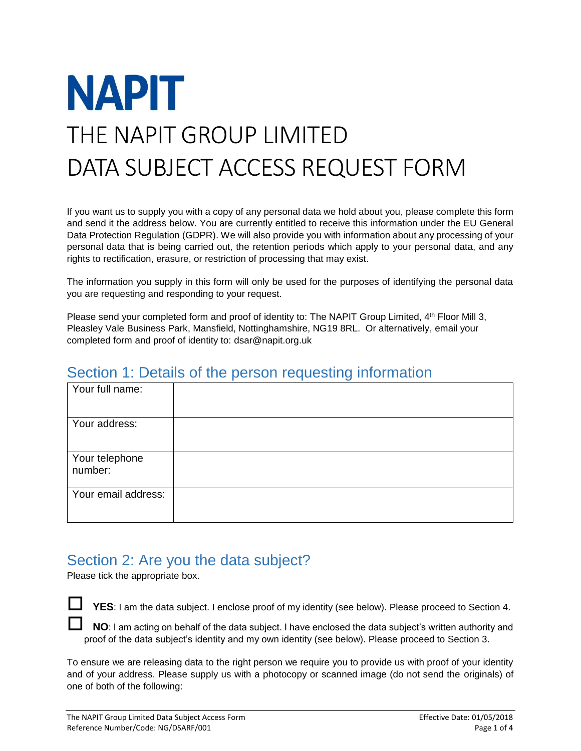

If you want us to supply you with a copy of any personal data we hold about you, please complete this form and send it the address below. You are currently entitled to receive this information under the EU General Data Protection Regulation (GDPR). We will also provide you with information about any processing of your personal data that is being carried out, the retention periods which apply to your personal data, and any rights to rectification, erasure, or restriction of processing that may exist.

The information you supply in this form will only be used for the purposes of identifying the personal data you are requesting and responding to your request.

Please send your completed form and proof of identity to: The NAPIT Group Limited, 4th Floor Mill 3, Pleasley Vale Business Park, Mansfield, Nottinghamshire, NG19 8RL. Or alternatively, email your completed form and proof of identity to: dsar@napit.org.uk

#### Section 1: Details of the person requesting information

| Your full name:           |  |
|---------------------------|--|
| Your address:             |  |
| Your telephone<br>number: |  |
| Your email address:       |  |

#### Section 2: Are you the data subject?

Please tick the appropriate box.

 **YES**: I am the data subject. I enclose proof of my identity (see below). Please proceed to Section 4.

**NO**: I am acting on behalf of the data subject. I have enclosed the data subject's written authority and proof of the data subject's identity and my own identity (see below). Please proceed to Section 3.

To ensure we are releasing data to the right person we require you to provide us with proof of your identity and of your address. Please supply us with a photocopy or scanned image (do not send the originals) of one of both of the following: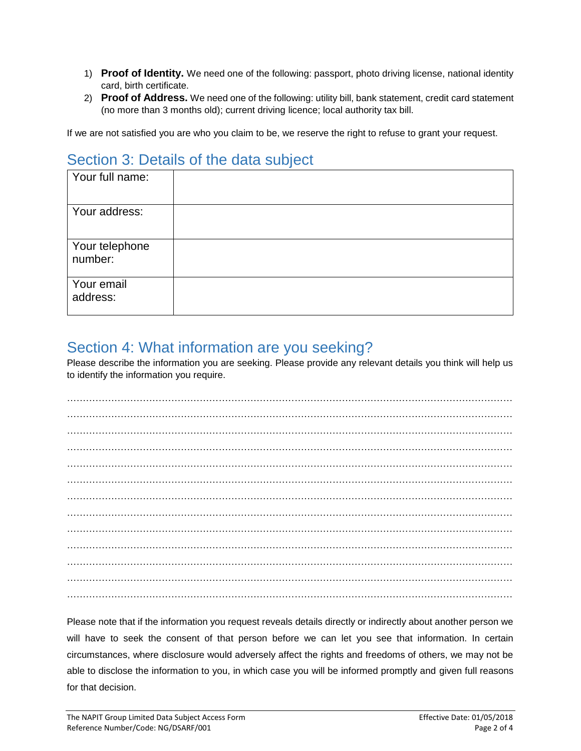- 1) **Proof of Identity.** We need one of the following: passport, photo driving license, national identity card, birth certificate.
- 2) **Proof of Address.** We need one of the following: utility bill, bank statement, credit card statement (no more than 3 months old); current driving licence; local authority tax bill.

If we are not satisfied you are who you claim to be, we reserve the right to refuse to grant your request.

## Section 3: Details of the data subject

| Your full name:           |  |
|---------------------------|--|
| Your address:             |  |
| Your telephone<br>number: |  |
| Your email<br>address:    |  |

### Section 4: What information are you seeking?

Please describe the information you are seeking. Please provide any relevant details you think will help us to identify the information you require.

Please note that if the information you request reveals details directly or indirectly about another person we will have to seek the consent of that person before we can let you see that information. In certain circumstances, where disclosure would adversely affect the rights and freedoms of others, we may not be able to disclose the information to you, in which case you will be informed promptly and given full reasons for that decision.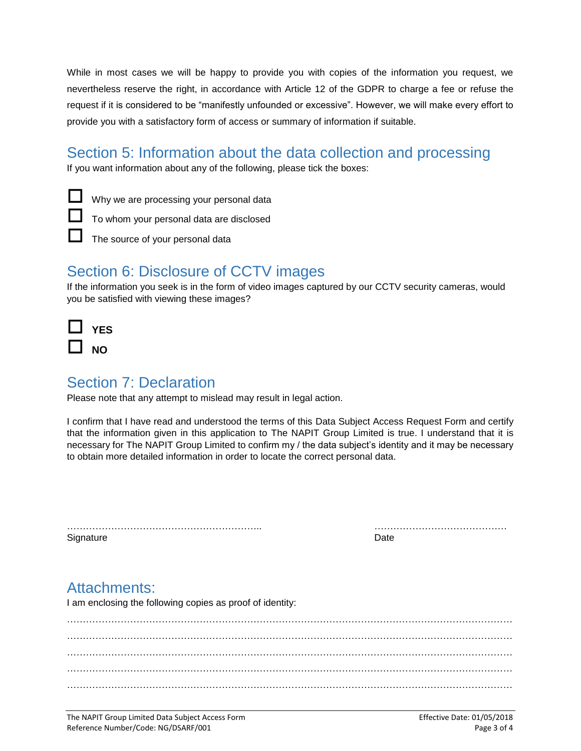While in most cases we will be happy to provide you with copies of the information you request, we nevertheless reserve the right, in accordance with Article 12 of the GDPR to charge a fee or refuse the request if it is considered to be "manifestly unfounded or excessive". However, we will make every effort to provide you with a satisfactory form of access or summary of information if suitable.

## Section 5: Information about the data collection and processing

If you want information about any of the following, please tick the boxes:

Why we are processing your personal data



The source of your personal data

# Section 6: Disclosure of CCTV images

If the information you seek is in the form of video images captured by our CCTV security cameras, would you be satisfied with viewing these images?

| YES |
|-----|
| NΟ  |

## Section 7: Declaration

Please note that any attempt to mislead may result in legal action.

I confirm that I have read and understood the terms of this Data Subject Access Request Form and certify that the information given in this application to The NAPIT Group Limited is true. I understand that it is necessary for The NAPIT Group Limited to confirm my / the data subject's identity and it may be necessary to obtain more detailed information in order to locate the correct personal data.

|           | . |
|-----------|---|
| Signature |   |

…………………………………………………….. ……………………………………

## Attachments:

I am enclosing the following copies as proof of identity: …………………………………………………………………………………………………………………………… …………………………………………………………………………………………………………………………… . The contract of the contract of the contract of the contract of the contract of the contract of the contract of the contract of the contract of the contract of the contract of the contract of the contract of the contrac ……………………………………………………………………………………………………………………………